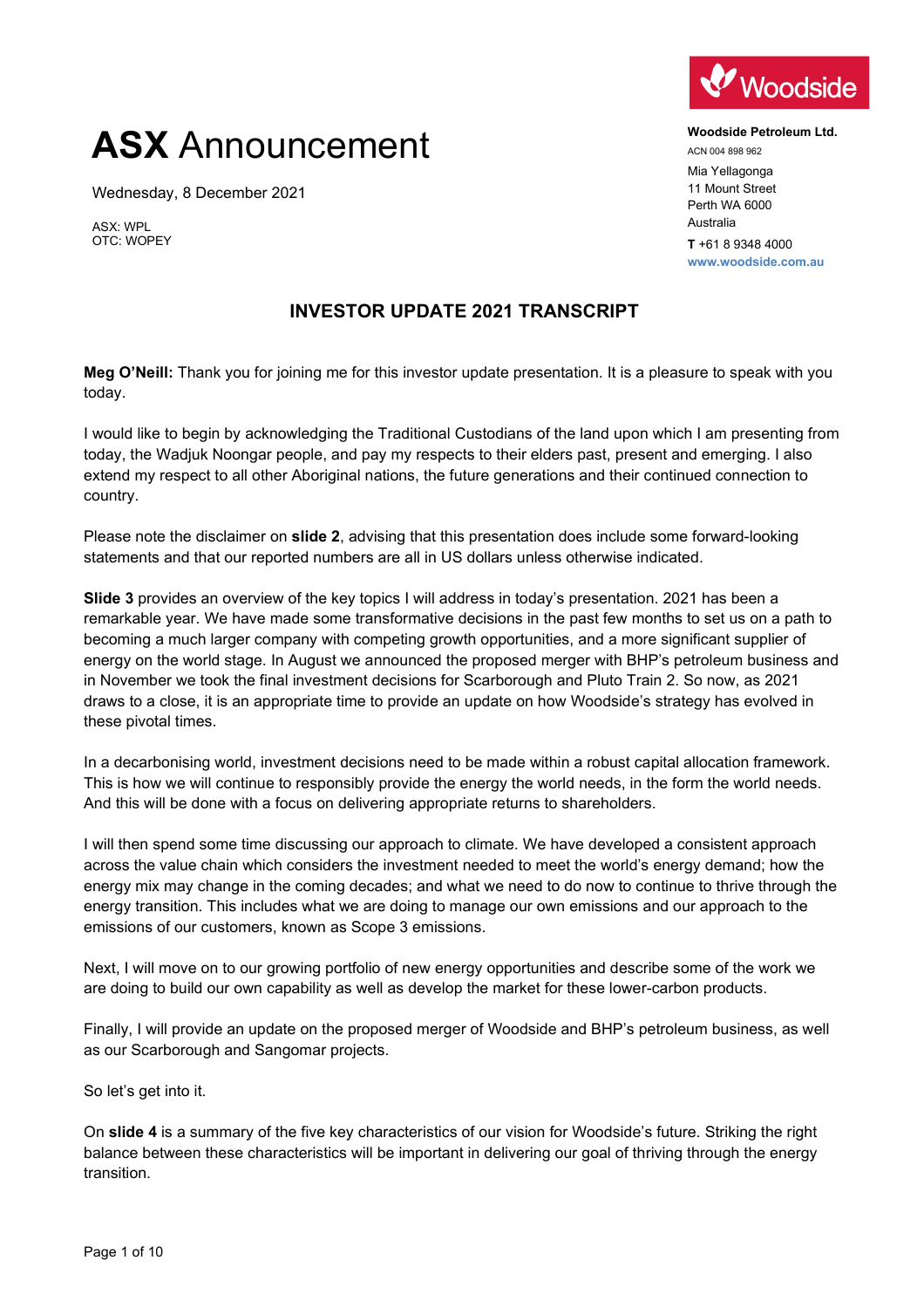## **ASX** Announcement

Wednesday, 8 December 2021

ASX: WPL OTC: WOPEY

## Woodside

**Woodside Petroleum Ltd.** ACN 004 898 962 Mia Yellagonga 11 Mount Street Perth WA 6000 Australia **T** +61 8 9348 4000 **www.woodside.com.au**

## **INVESTOR UPDATE 2021 TRANSCRIPT**

**Meg O'Neill:** Thank you for joining me for this investor update presentation. It is a pleasure to speak with you today.

I would like to begin by acknowledging the Traditional Custodians of the land upon which I am presenting from today, the Wadjuk Noongar people, and pay my respects to their elders past, present and emerging. I also extend my respect to all other Aboriginal nations, the future generations and their continued connection to country.

Please note the disclaimer on **slide 2**, advising that this presentation does include some forward-looking statements and that our reported numbers are all in US dollars unless otherwise indicated.

**Slide 3** provides an overview of the key topics I will address in today's presentation. 2021 has been a remarkable year. We have made some transformative decisions in the past few months to set us on a path to becoming a much larger company with competing growth opportunities, and a more significant supplier of energy on the world stage. In August we announced the proposed merger with BHP's petroleum business and in November we took the final investment decisions for Scarborough and Pluto Train 2. So now, as 2021 draws to a close, it is an appropriate time to provide an update on how Woodside's strategy has evolved in these pivotal times.

In a decarbonising world, investment decisions need to be made within a robust capital allocation framework. This is how we will continue to responsibly provide the energy the world needs, in the form the world needs. And this will be done with a focus on delivering appropriate returns to shareholders.

I will then spend some time discussing our approach to climate. We have developed a consistent approach across the value chain which considers the investment needed to meet the world's energy demand; how the energy mix may change in the coming decades; and what we need to do now to continue to thrive through the energy transition. This includes what we are doing to manage our own emissions and our approach to the emissions of our customers, known as Scope 3 emissions.

Next, I will move on to our growing portfolio of new energy opportunities and describe some of the work we are doing to build our own capability as well as develop the market for these lower-carbon products.

Finally, I will provide an update on the proposed merger of Woodside and BHP's petroleum business, as well as our Scarborough and Sangomar projects.

So let's get into it.

On **slide 4** is a summary of the five key characteristics of our vision for Woodside's future. Striking the right balance between these characteristics will be important in delivering our goal of thriving through the energy transition.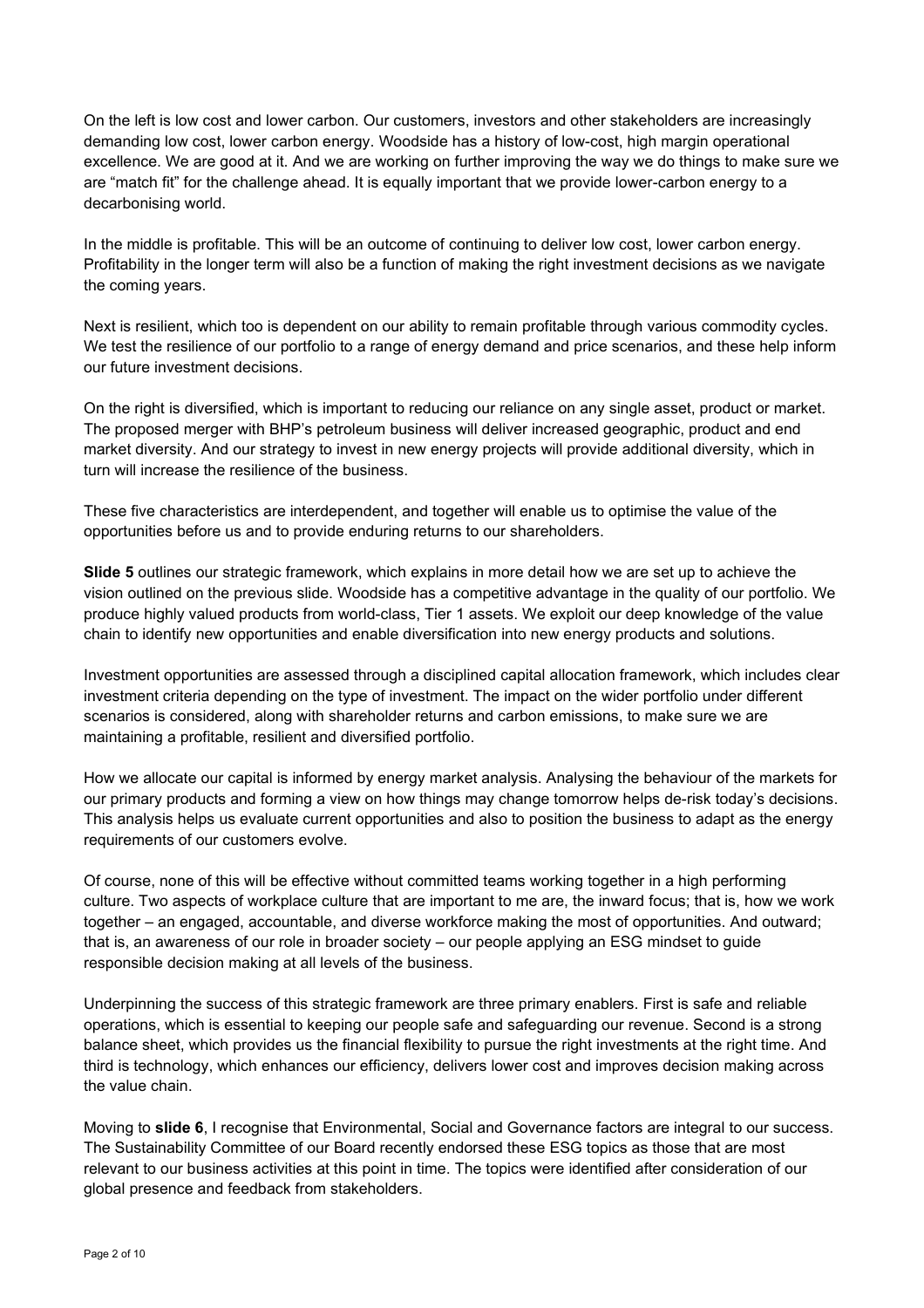On the left is low cost and lower carbon. Our customers, investors and other stakeholders are increasingly demanding low cost, lower carbon energy. Woodside has a history of low-cost, high margin operational excellence. We are good at it. And we are working on further improving the way we do things to make sure we are "match fit" for the challenge ahead. It is equally important that we provide lower-carbon energy to a decarbonising world.

In the middle is profitable. This will be an outcome of continuing to deliver low cost, lower carbon energy. Profitability in the longer term will also be a function of making the right investment decisions as we navigate the coming years.

Next is resilient, which too is dependent on our ability to remain profitable through various commodity cycles. We test the resilience of our portfolio to a range of energy demand and price scenarios, and these help inform our future investment decisions.

On the right is diversified, which is important to reducing our reliance on any single asset, product or market. The proposed merger with BHP's petroleum business will deliver increased geographic, product and end market diversity. And our strategy to invest in new energy projects will provide additional diversity, which in turn will increase the resilience of the business.

These five characteristics are interdependent, and together will enable us to optimise the value of the opportunities before us and to provide enduring returns to our shareholders.

**Slide 5** outlines our strategic framework, which explains in more detail how we are set up to achieve the vision outlined on the previous slide. Woodside has a competitive advantage in the quality of our portfolio. We produce highly valued products from world-class, Tier 1 assets. We exploit our deep knowledge of the value chain to identify new opportunities and enable diversification into new energy products and solutions.

Investment opportunities are assessed through a disciplined capital allocation framework, which includes clear investment criteria depending on the type of investment. The impact on the wider portfolio under different scenarios is considered, along with shareholder returns and carbon emissions, to make sure we are maintaining a profitable, resilient and diversified portfolio.

How we allocate our capital is informed by energy market analysis. Analysing the behaviour of the markets for our primary products and forming a view on how things may change tomorrow helps de-risk today's decisions. This analysis helps us evaluate current opportunities and also to position the business to adapt as the energy requirements of our customers evolve.

Of course, none of this will be effective without committed teams working together in a high performing culture. Two aspects of workplace culture that are important to me are, the inward focus; that is, how we work together – an engaged, accountable, and diverse workforce making the most of opportunities. And outward; that is, an awareness of our role in broader society – our people applying an ESG mindset to guide responsible decision making at all levels of the business.

Underpinning the success of this strategic framework are three primary enablers. First is safe and reliable operations, which is essential to keeping our people safe and safeguarding our revenue. Second is a strong balance sheet, which provides us the financial flexibility to pursue the right investments at the right time. And third is technology, which enhances our efficiency, delivers lower cost and improves decision making across the value chain.

Moving to **slide 6**, I recognise that Environmental, Social and Governance factors are integral to our success. The Sustainability Committee of our Board recently endorsed these ESG topics as those that are most relevant to our business activities at this point in time. The topics were identified after consideration of our global presence and feedback from stakeholders.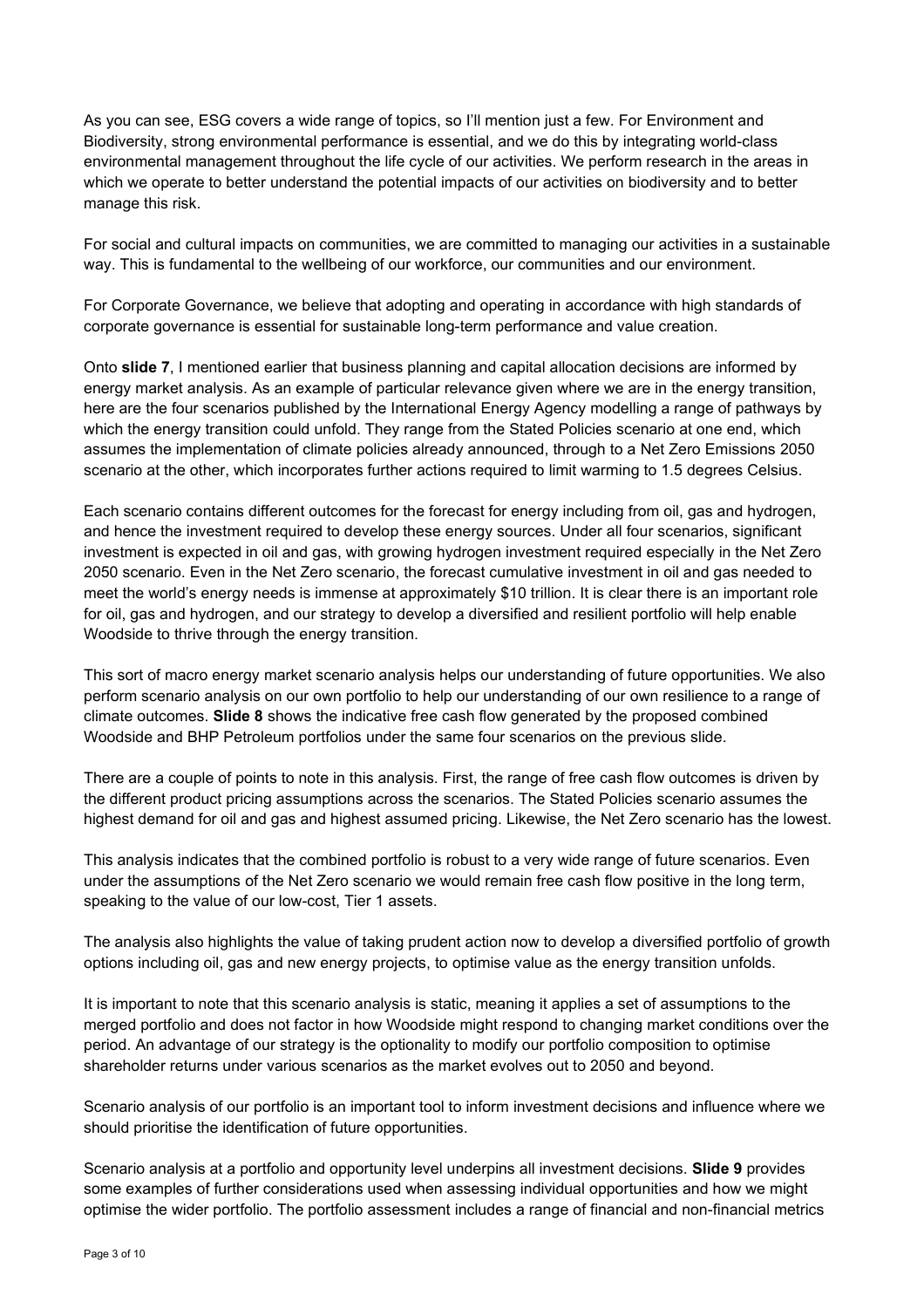As you can see, ESG covers a wide range of topics, so I'll mention just a few. For Environment and Biodiversity, strong environmental performance is essential, and we do this by integrating world-class environmental management throughout the life cycle of our activities. We perform research in the areas in which we operate to better understand the potential impacts of our activities on biodiversity and to better manage this risk.

For social and cultural impacts on communities, we are committed to managing our activities in a sustainable way. This is fundamental to the wellbeing of our workforce, our communities and our environment.

For Corporate Governance, we believe that adopting and operating in accordance with high standards of corporate governance is essential for sustainable long-term performance and value creation.

Onto **slide 7**, I mentioned earlier that business planning and capital allocation decisions are informed by energy market analysis. As an example of particular relevance given where we are in the energy transition, here are the four scenarios published by the International Energy Agency modelling a range of pathways by which the energy transition could unfold. They range from the Stated Policies scenario at one end, which assumes the implementation of climate policies already announced, through to a Net Zero Emissions 2050 scenario at the other, which incorporates further actions required to limit warming to 1.5 degrees Celsius.

Each scenario contains different outcomes for the forecast for energy including from oil, gas and hydrogen, and hence the investment required to develop these energy sources. Under all four scenarios, significant investment is expected in oil and gas, with growing hydrogen investment required especially in the Net Zero 2050 scenario. Even in the Net Zero scenario, the forecast cumulative investment in oil and gas needed to meet the world's energy needs is immense at approximately \$10 trillion. It is clear there is an important role for oil, gas and hydrogen, and our strategy to develop a diversified and resilient portfolio will help enable Woodside to thrive through the energy transition.

This sort of macro energy market scenario analysis helps our understanding of future opportunities. We also perform scenario analysis on our own portfolio to help our understanding of our own resilience to a range of climate outcomes. **Slide 8** shows the indicative free cash flow generated by the proposed combined Woodside and BHP Petroleum portfolios under the same four scenarios on the previous slide.

There are a couple of points to note in this analysis. First, the range of free cash flow outcomes is driven by the different product pricing assumptions across the scenarios. The Stated Policies scenario assumes the highest demand for oil and gas and highest assumed pricing. Likewise, the Net Zero scenario has the lowest.

This analysis indicates that the combined portfolio is robust to a very wide range of future scenarios. Even under the assumptions of the Net Zero scenario we would remain free cash flow positive in the long term, speaking to the value of our low-cost, Tier 1 assets.

The analysis also highlights the value of taking prudent action now to develop a diversified portfolio of growth options including oil, gas and new energy projects, to optimise value as the energy transition unfolds.

It is important to note that this scenario analysis is static, meaning it applies a set of assumptions to the merged portfolio and does not factor in how Woodside might respond to changing market conditions over the period. An advantage of our strategy is the optionality to modify our portfolio composition to optimise shareholder returns under various scenarios as the market evolves out to 2050 and beyond.

Scenario analysis of our portfolio is an important tool to inform investment decisions and influence where we should prioritise the identification of future opportunities.

Scenario analysis at a portfolio and opportunity level underpins all investment decisions. **Slide 9** provides some examples of further considerations used when assessing individual opportunities and how we might optimise the wider portfolio. The portfolio assessment includes a range of financial and non-financial metrics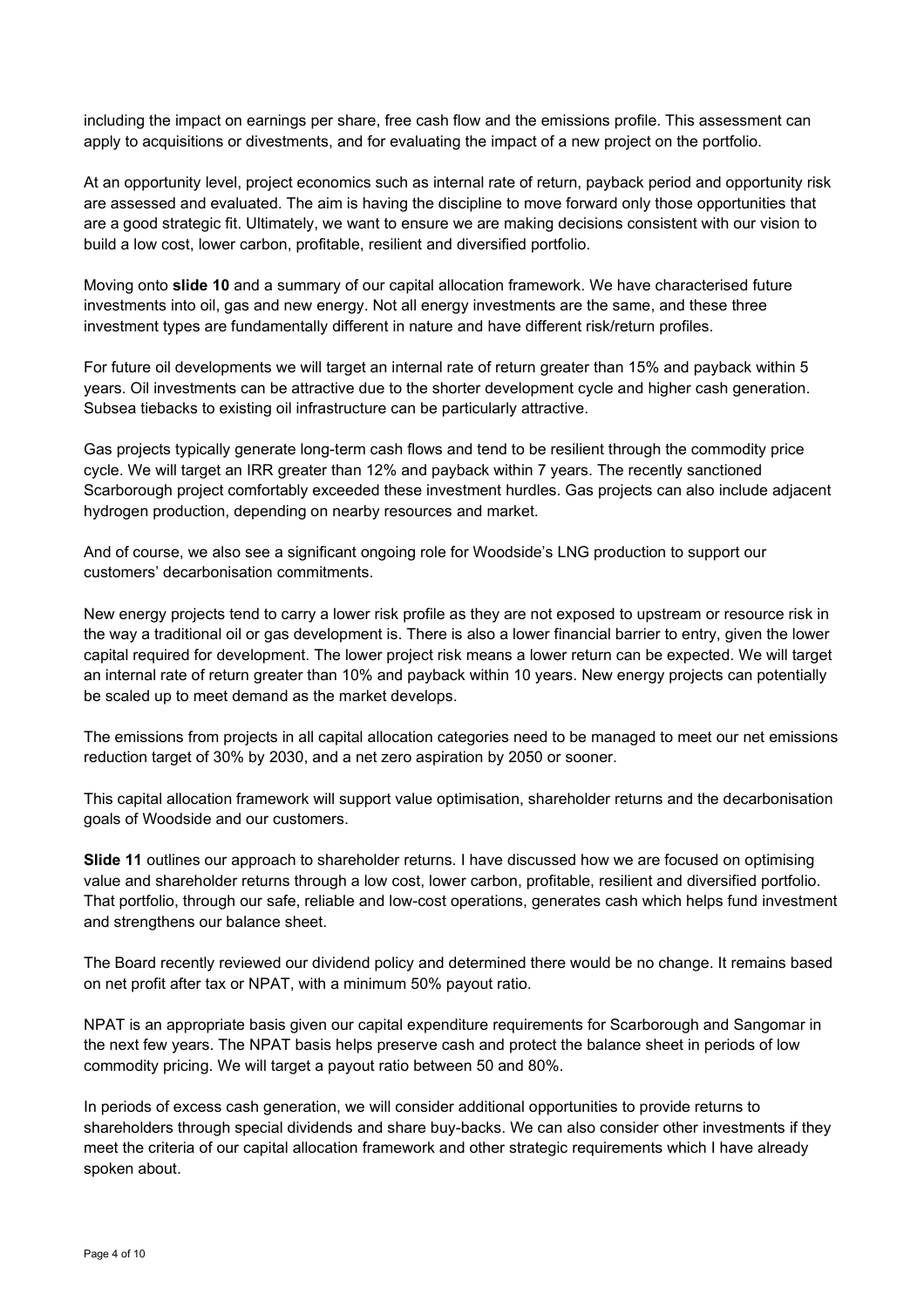including the impact on earnings per share, free cash flow and the emissions profile. This assessment can apply to acquisitions or divestments, and for evaluating the impact of a new project on the portfolio.

At an opportunity level, project economics such as internal rate of return, payback period and opportunity risk are assessed and evaluated. The aim is having the discipline to move forward only those opportunities that are a good strategic fit. Ultimately, we want to ensure we are making decisions consistent with our vision to build a low cost, lower carbon, profitable, resilient and diversified portfolio.

Moving onto **slide 10** and a summary of our capital allocation framework. We have characterised future investments into oil, gas and new energy. Not all energy investments are the same, and these three investment types are fundamentally different in nature and have different risk/return profiles.

For future oil developments we will target an internal rate of return greater than 15% and payback within 5 years. Oil investments can be attractive due to the shorter development cycle and higher cash generation. Subsea tiebacks to existing oil infrastructure can be particularly attractive.

Gas projects typically generate long-term cash flows and tend to be resilient through the commodity price cycle. We will target an IRR greater than 12% and payback within 7 years. The recently sanctioned Scarborough project comfortably exceeded these investment hurdles. Gas projects can also include adjacent hydrogen production, depending on nearby resources and market.

And of course, we also see a significant ongoing role for Woodside's LNG production to support our customers' decarbonisation commitments.

New energy projects tend to carry a lower risk profile as they are not exposed to upstream or resource risk in the way a traditional oil or gas development is. There is also a lower financial barrier to entry, given the lower capital required for development. The lower project risk means a lower return can be expected. We will target an internal rate of return greater than 10% and payback within 10 years. New energy projects can potentially be scaled up to meet demand as the market develops.

The emissions from projects in all capital allocation categories need to be managed to meet our net emissions reduction target of 30% by 2030, and a net zero aspiration by 2050 or sooner.

This capital allocation framework will support value optimisation, shareholder returns and the decarbonisation goals of Woodside and our customers.

**Slide 11** outlines our approach to shareholder returns. I have discussed how we are focused on optimising value and shareholder returns through a low cost, lower carbon, profitable, resilient and diversified portfolio. That portfolio, through our safe, reliable and low-cost operations, generates cash which helps fund investment and strengthens our balance sheet.

The Board recently reviewed our dividend policy and determined there would be no change. It remains based on net profit after tax or NPAT, with a minimum 50% payout ratio.

NPAT is an appropriate basis given our capital expenditure requirements for Scarborough and Sangomar in the next few years. The NPAT basis helps preserve cash and protect the balance sheet in periods of low commodity pricing. We will target a payout ratio between 50 and 80%.

In periods of excess cash generation, we will consider additional opportunities to provide returns to shareholders through special dividends and share buy-backs. We can also consider other investments if they meet the criteria of our capital allocation framework and other strategic requirements which I have already spoken about.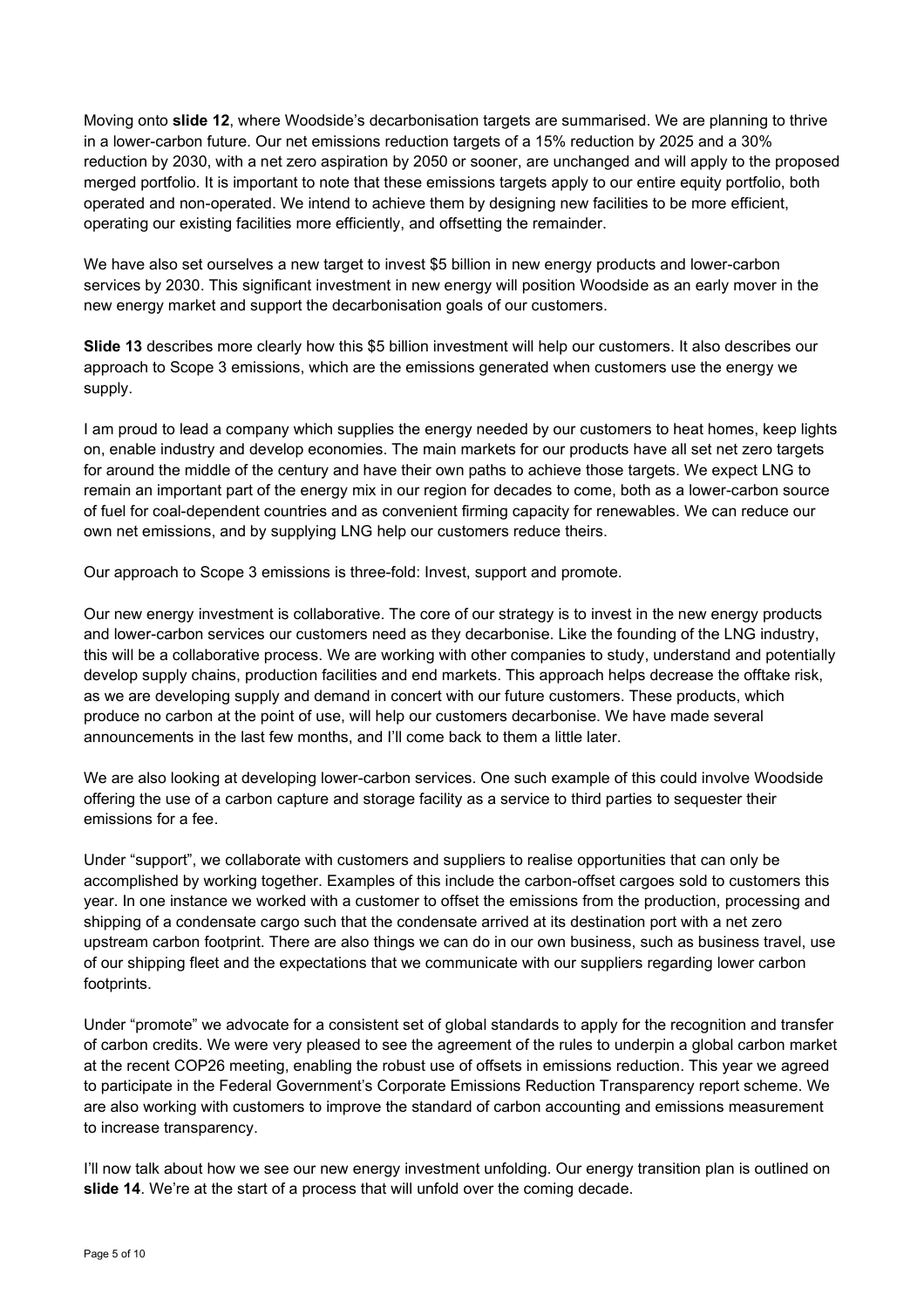Moving onto **slide 12**, where Woodside's decarbonisation targets are summarised. We are planning to thrive in a lower-carbon future. Our net emissions reduction targets of a 15% reduction by 2025 and a 30% reduction by 2030, with a net zero aspiration by 2050 or sooner, are unchanged and will apply to the proposed merged portfolio. It is important to note that these emissions targets apply to our entire equity portfolio, both operated and non-operated. We intend to achieve them by designing new facilities to be more efficient, operating our existing facilities more efficiently, and offsetting the remainder.

We have also set ourselves a new target to invest \$5 billion in new energy products and lower-carbon services by 2030. This significant investment in new energy will position Woodside as an early mover in the new energy market and support the decarbonisation goals of our customers.

**Slide 13** describes more clearly how this \$5 billion investment will help our customers. It also describes our approach to Scope 3 emissions, which are the emissions generated when customers use the energy we supply.

I am proud to lead a company which supplies the energy needed by our customers to heat homes, keep lights on, enable industry and develop economies. The main markets for our products have all set net zero targets for around the middle of the century and have their own paths to achieve those targets. We expect LNG to remain an important part of the energy mix in our region for decades to come, both as a lower-carbon source of fuel for coal-dependent countries and as convenient firming capacity for renewables. We can reduce our own net emissions, and by supplying LNG help our customers reduce theirs.

Our approach to Scope 3 emissions is three-fold: Invest, support and promote.

Our new energy investment is collaborative. The core of our strategy is to invest in the new energy products and lower-carbon services our customers need as they decarbonise. Like the founding of the LNG industry, this will be a collaborative process. We are working with other companies to study, understand and potentially develop supply chains, production facilities and end markets. This approach helps decrease the offtake risk, as we are developing supply and demand in concert with our future customers. These products, which produce no carbon at the point of use, will help our customers decarbonise. We have made several announcements in the last few months, and I'll come back to them a little later.

We are also looking at developing lower-carbon services. One such example of this could involve Woodside offering the use of a carbon capture and storage facility as a service to third parties to sequester their emissions for a fee.

Under "support", we collaborate with customers and suppliers to realise opportunities that can only be accomplished by working together. Examples of this include the carbon-offset cargoes sold to customers this year. In one instance we worked with a customer to offset the emissions from the production, processing and shipping of a condensate cargo such that the condensate arrived at its destination port with a net zero upstream carbon footprint. There are also things we can do in our own business, such as business travel, use of our shipping fleet and the expectations that we communicate with our suppliers regarding lower carbon footprints.

Under "promote" we advocate for a consistent set of global standards to apply for the recognition and transfer of carbon credits. We were very pleased to see the agreement of the rules to underpin a global carbon market at the recent COP26 meeting, enabling the robust use of offsets in emissions reduction. This year we agreed to participate in the Federal Government's Corporate Emissions Reduction Transparency report scheme. We are also working with customers to improve the standard of carbon accounting and emissions measurement to increase transparency.

I'll now talk about how we see our new energy investment unfolding. Our energy transition plan is outlined on **slide 14**. We're at the start of a process that will unfold over the coming decade.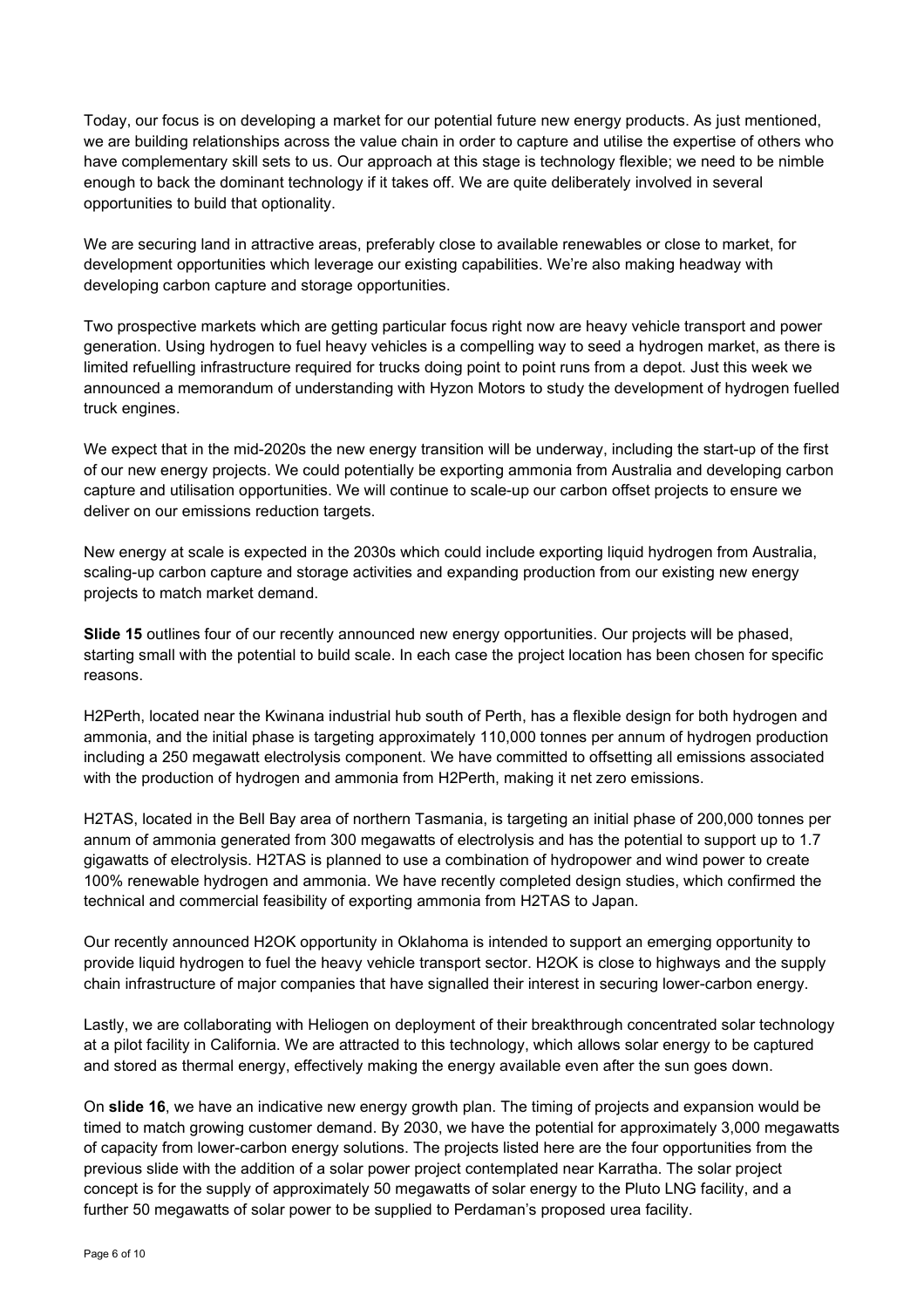Today, our focus is on developing a market for our potential future new energy products. As just mentioned, we are building relationships across the value chain in order to capture and utilise the expertise of others who have complementary skill sets to us. Our approach at this stage is technology flexible; we need to be nimble enough to back the dominant technology if it takes off. We are quite deliberately involved in several opportunities to build that optionality.

We are securing land in attractive areas, preferably close to available renewables or close to market, for development opportunities which leverage our existing capabilities. We're also making headway with developing carbon capture and storage opportunities.

Two prospective markets which are getting particular focus right now are heavy vehicle transport and power generation. Using hydrogen to fuel heavy vehicles is a compelling way to seed a hydrogen market, as there is limited refuelling infrastructure required for trucks doing point to point runs from a depot. Just this week we announced a memorandum of understanding with Hyzon Motors to study the development of hydrogen fuelled truck engines.

We expect that in the mid-2020s the new energy transition will be underway, including the start-up of the first of our new energy projects. We could potentially be exporting ammonia from Australia and developing carbon capture and utilisation opportunities. We will continue to scale-up our carbon offset projects to ensure we deliver on our emissions reduction targets.

New energy at scale is expected in the 2030s which could include exporting liquid hydrogen from Australia, scaling-up carbon capture and storage activities and expanding production from our existing new energy projects to match market demand.

**Slide 15** outlines four of our recently announced new energy opportunities. Our projects will be phased, starting small with the potential to build scale. In each case the project location has been chosen for specific reasons.

H2Perth, located near the Kwinana industrial hub south of Perth, has a flexible design for both hydrogen and ammonia, and the initial phase is targeting approximately 110,000 tonnes per annum of hydrogen production including a 250 megawatt electrolysis component. We have committed to offsetting all emissions associated with the production of hydrogen and ammonia from H2Perth, making it net zero emissions.

H2TAS, located in the Bell Bay area of northern Tasmania, is targeting an initial phase of 200,000 tonnes per annum of ammonia generated from 300 megawatts of electrolysis and has the potential to support up to 1.7 gigawatts of electrolysis. H2TAS is planned to use a combination of hydropower and wind power to create 100% renewable hydrogen and ammonia. We have recently completed design studies, which confirmed the technical and commercial feasibility of exporting ammonia from H2TAS to Japan.

Our recently announced H2OK opportunity in Oklahoma is intended to support an emerging opportunity to provide liquid hydrogen to fuel the heavy vehicle transport sector. H2OK is close to highways and the supply chain infrastructure of major companies that have signalled their interest in securing lower-carbon energy.

Lastly, we are collaborating with Heliogen on deployment of their breakthrough concentrated solar technology at a pilot facility in California. We are attracted to this technology, which allows solar energy to be captured and stored as thermal energy, effectively making the energy available even after the sun goes down.

On **slide 16**, we have an indicative new energy growth plan. The timing of projects and expansion would be timed to match growing customer demand. By 2030, we have the potential for approximately 3,000 megawatts of capacity from lower-carbon energy solutions. The projects listed here are the four opportunities from the previous slide with the addition of a solar power project contemplated near Karratha. The solar project concept is for the supply of approximately 50 megawatts of solar energy to the Pluto LNG facility, and a further 50 megawatts of solar power to be supplied to Perdaman's proposed urea facility.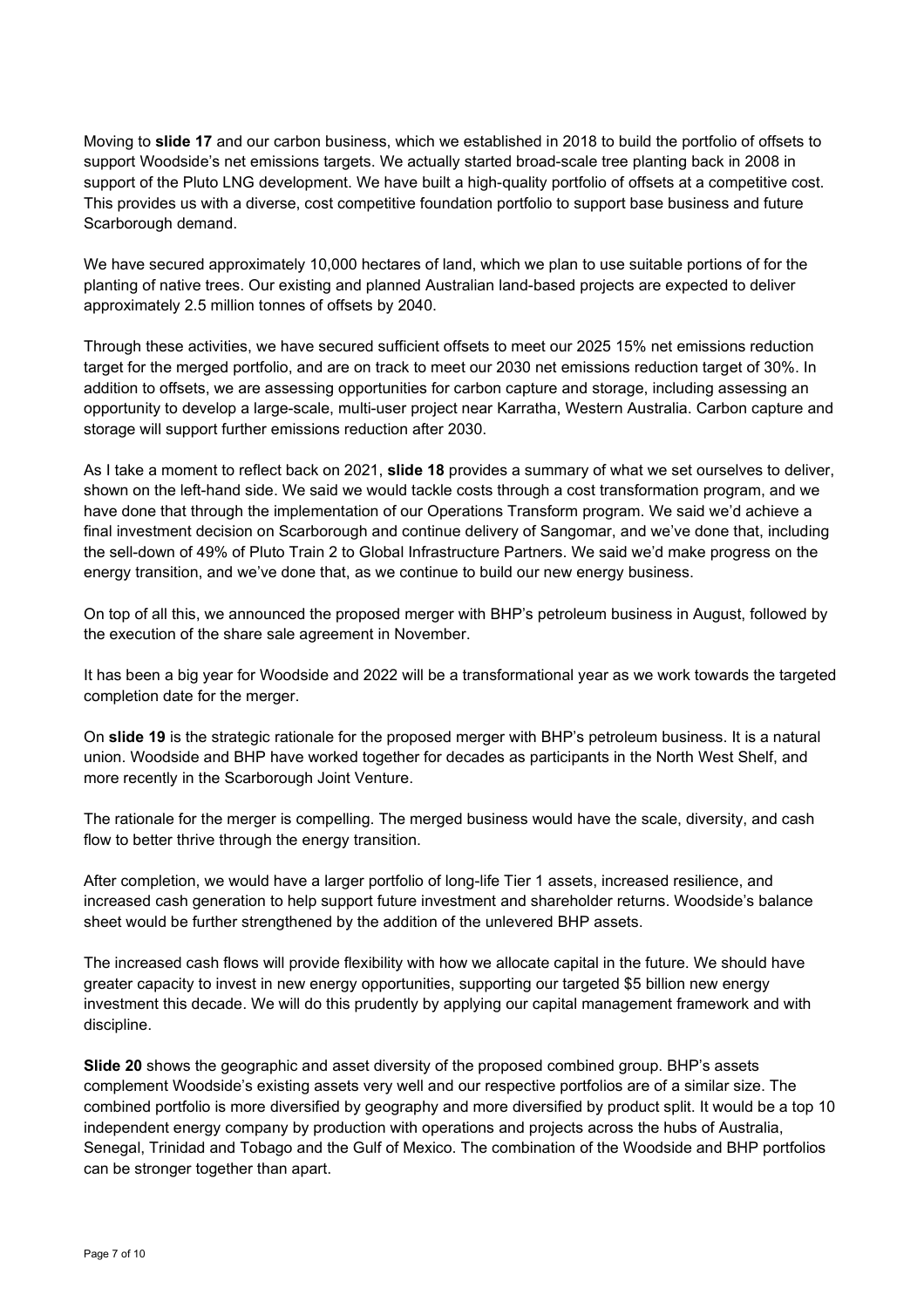Moving to **slide 17** and our carbon business, which we established in 2018 to build the portfolio of offsets to support Woodside's net emissions targets. We actually started broad-scale tree planting back in 2008 in support of the Pluto LNG development. We have built a high-quality portfolio of offsets at a competitive cost. This provides us with a diverse, cost competitive foundation portfolio to support base business and future Scarborough demand.

We have secured approximately 10,000 hectares of land, which we plan to use suitable portions of for the planting of native trees. Our existing and planned Australian land-based projects are expected to deliver approximately 2.5 million tonnes of offsets by 2040.

Through these activities, we have secured sufficient offsets to meet our 2025 15% net emissions reduction target for the merged portfolio, and are on track to meet our 2030 net emissions reduction target of 30%. In addition to offsets, we are assessing opportunities for carbon capture and storage, including assessing an opportunity to develop a large-scale, multi-user project near Karratha, Western Australia. Carbon capture and storage will support further emissions reduction after 2030.

As I take a moment to reflect back on 2021, **slide 18** provides a summary of what we set ourselves to deliver, shown on the left-hand side. We said we would tackle costs through a cost transformation program, and we have done that through the implementation of our Operations Transform program. We said we'd achieve a final investment decision on Scarborough and continue delivery of Sangomar, and we've done that, including the sell-down of 49% of Pluto Train 2 to Global Infrastructure Partners. We said we'd make progress on the energy transition, and we've done that, as we continue to build our new energy business.

On top of all this, we announced the proposed merger with BHP's petroleum business in August, followed by the execution of the share sale agreement in November.

It has been a big year for Woodside and 2022 will be a transformational year as we work towards the targeted completion date for the merger.

On **slide 19** is the strategic rationale for the proposed merger with BHP's petroleum business. It is a natural union. Woodside and BHP have worked together for decades as participants in the North West Shelf, and more recently in the Scarborough Joint Venture.

The rationale for the merger is compelling. The merged business would have the scale, diversity, and cash flow to better thrive through the energy transition.

After completion, we would have a larger portfolio of long-life Tier 1 assets, increased resilience, and increased cash generation to help support future investment and shareholder returns. Woodside's balance sheet would be further strengthened by the addition of the unlevered BHP assets.

The increased cash flows will provide flexibility with how we allocate capital in the future. We should have greater capacity to invest in new energy opportunities, supporting our targeted \$5 billion new energy investment this decade. We will do this prudently by applying our capital management framework and with discipline.

**Slide 20** shows the geographic and asset diversity of the proposed combined group. BHP's assets complement Woodside's existing assets very well and our respective portfolios are of a similar size. The combined portfolio is more diversified by geography and more diversified by product split. It would be a top 10 independent energy company by production with operations and projects across the hubs of Australia, Senegal, Trinidad and Tobago and the Gulf of Mexico. The combination of the Woodside and BHP portfolios can be stronger together than apart.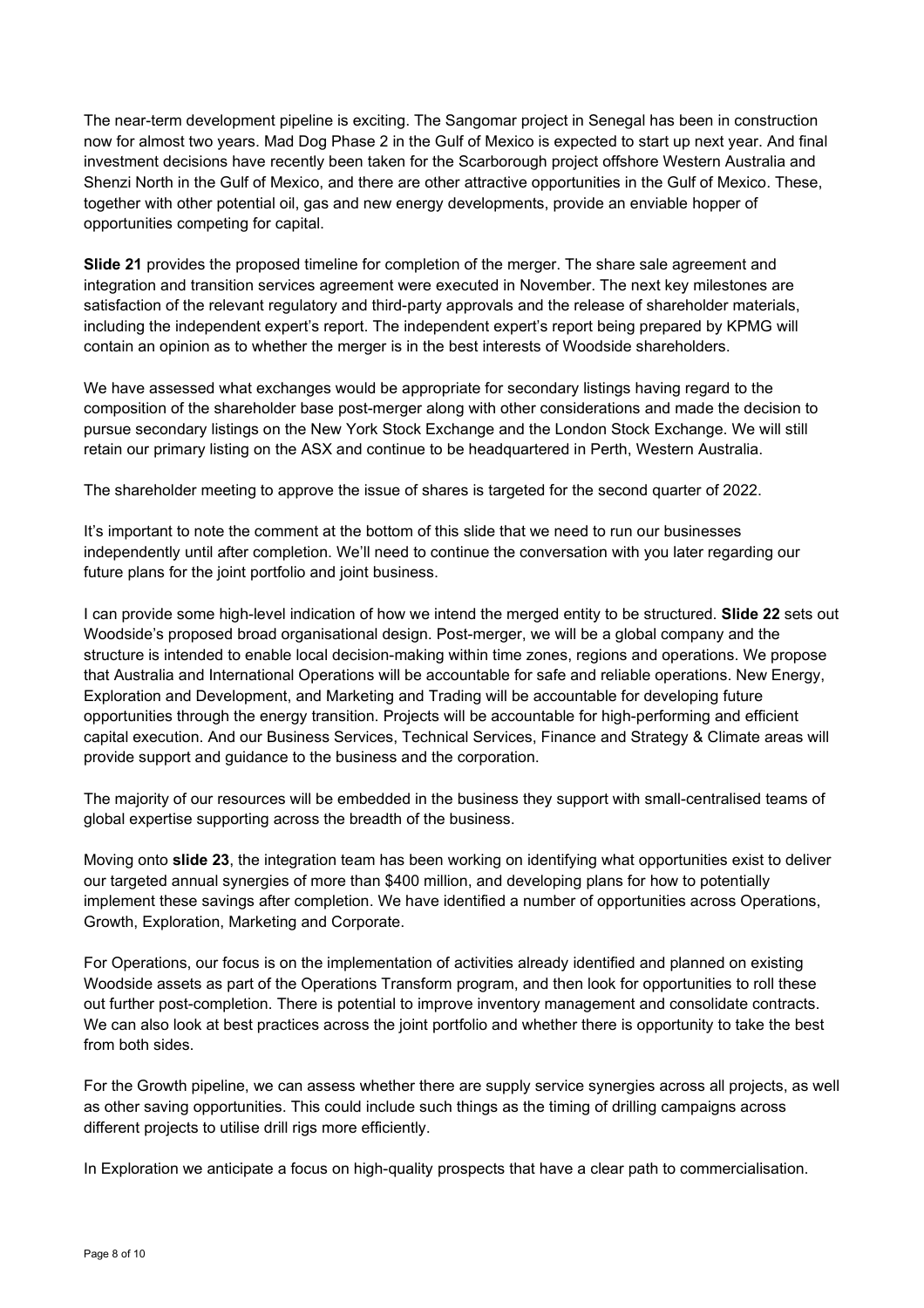The near-term development pipeline is exciting. The Sangomar project in Senegal has been in construction now for almost two years. Mad Dog Phase 2 in the Gulf of Mexico is expected to start up next year. And final investment decisions have recently been taken for the Scarborough project offshore Western Australia and Shenzi North in the Gulf of Mexico, and there are other attractive opportunities in the Gulf of Mexico. These, together with other potential oil, gas and new energy developments, provide an enviable hopper of opportunities competing for capital.

**Slide 21** provides the proposed timeline for completion of the merger. The share sale agreement and integration and transition services agreement were executed in November. The next key milestones are satisfaction of the relevant regulatory and third-party approvals and the release of shareholder materials, including the independent expert's report. The independent expert's report being prepared by KPMG will contain an opinion as to whether the merger is in the best interests of Woodside shareholders.

We have assessed what exchanges would be appropriate for secondary listings having regard to the composition of the shareholder base post-merger along with other considerations and made the decision to pursue secondary listings on the New York Stock Exchange and the London Stock Exchange. We will still retain our primary listing on the ASX and continue to be headquartered in Perth, Western Australia.

The shareholder meeting to approve the issue of shares is targeted for the second quarter of 2022.

It's important to note the comment at the bottom of this slide that we need to run our businesses independently until after completion. We'll need to continue the conversation with you later regarding our future plans for the joint portfolio and joint business.

I can provide some high-level indication of how we intend the merged entity to be structured. **Slide 22** sets out Woodside's proposed broad organisational design. Post-merger, we will be a global company and the structure is intended to enable local decision-making within time zones, regions and operations. We propose that Australia and International Operations will be accountable for safe and reliable operations. New Energy, Exploration and Development, and Marketing and Trading will be accountable for developing future opportunities through the energy transition. Projects will be accountable for high-performing and efficient capital execution. And our Business Services, Technical Services, Finance and Strategy & Climate areas will provide support and guidance to the business and the corporation.

The majority of our resources will be embedded in the business they support with small-centralised teams of global expertise supporting across the breadth of the business.

Moving onto **slide 23**, the integration team has been working on identifying what opportunities exist to deliver our targeted annual synergies of more than \$400 million, and developing plans for how to potentially implement these savings after completion. We have identified a number of opportunities across Operations, Growth, Exploration, Marketing and Corporate.

For Operations, our focus is on the implementation of activities already identified and planned on existing Woodside assets as part of the Operations Transform program, and then look for opportunities to roll these out further post-completion. There is potential to improve inventory management and consolidate contracts. We can also look at best practices across the joint portfolio and whether there is opportunity to take the best from both sides.

For the Growth pipeline, we can assess whether there are supply service synergies across all projects, as well as other saving opportunities. This could include such things as the timing of drilling campaigns across different projects to utilise drill rigs more efficiently.

In Exploration we anticipate a focus on high-quality prospects that have a clear path to commercialisation.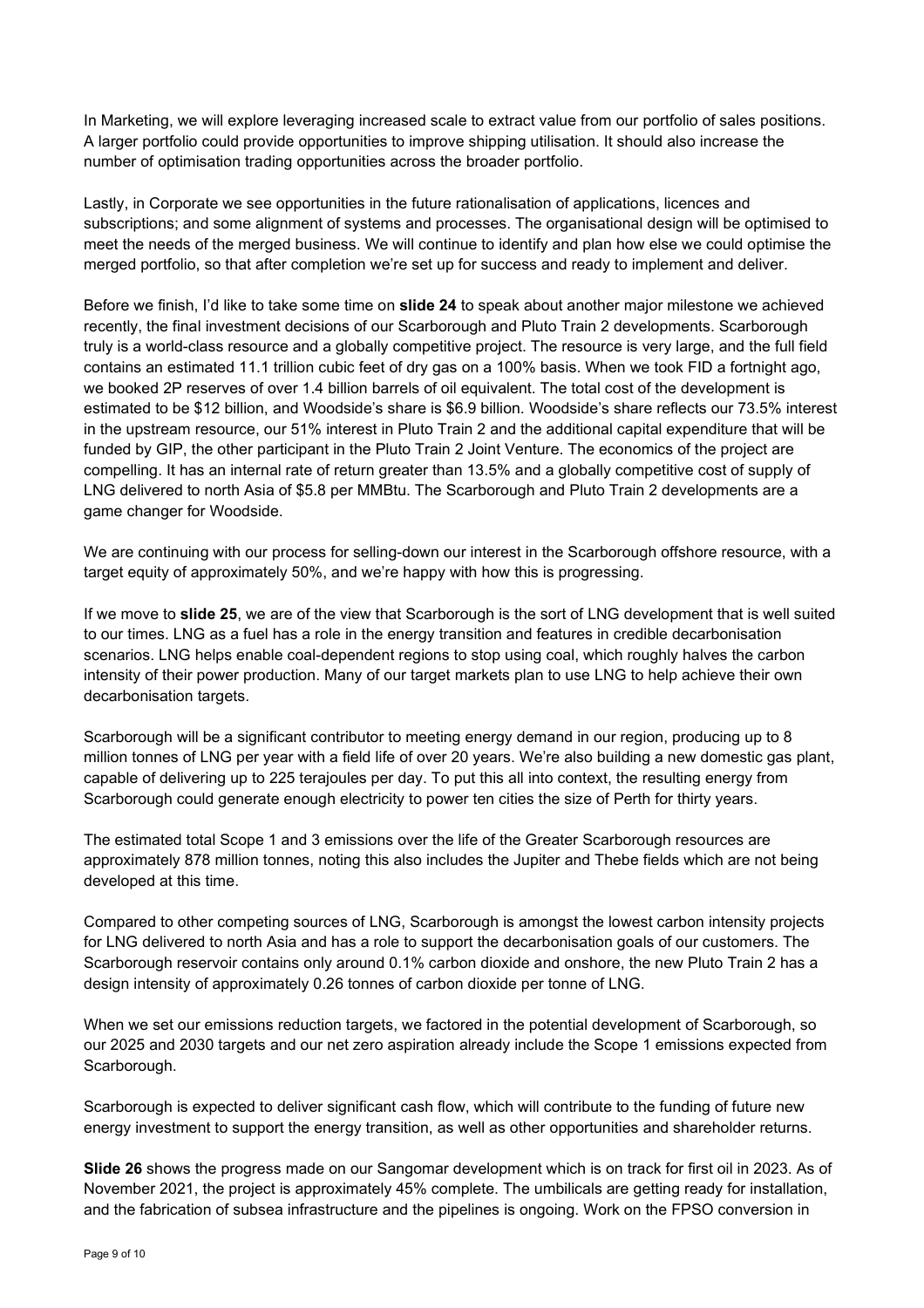In Marketing, we will explore leveraging increased scale to extract value from our portfolio of sales positions. A larger portfolio could provide opportunities to improve shipping utilisation. It should also increase the number of optimisation trading opportunities across the broader portfolio.

Lastly, in Corporate we see opportunities in the future rationalisation of applications, licences and subscriptions; and some alignment of systems and processes. The organisational design will be optimised to meet the needs of the merged business. We will continue to identify and plan how else we could optimise the merged portfolio, so that after completion we're set up for success and ready to implement and deliver.

Before we finish, I'd like to take some time on **slide 24** to speak about another major milestone we achieved recently, the final investment decisions of our Scarborough and Pluto Train 2 developments. Scarborough truly is a world-class resource and a globally competitive project. The resource is very large, and the full field contains an estimated 11.1 trillion cubic feet of dry gas on a 100% basis. When we took FID a fortnight ago, we booked 2P reserves of over 1.4 billion barrels of oil equivalent. The total cost of the development is estimated to be \$12 billion, and Woodside's share is \$6.9 billion. Woodside's share reflects our 73.5% interest in the upstream resource, our 51% interest in Pluto Train 2 and the additional capital expenditure that will be funded by GIP, the other participant in the Pluto Train 2 Joint Venture. The economics of the project are compelling. It has an internal rate of return greater than 13.5% and a globally competitive cost of supply of LNG delivered to north Asia of \$5.8 per MMBtu. The Scarborough and Pluto Train 2 developments are a game changer for Woodside.

We are continuing with our process for selling-down our interest in the Scarborough offshore resource, with a target equity of approximately 50%, and we're happy with how this is progressing.

If we move to **slide 25**, we are of the view that Scarborough is the sort of LNG development that is well suited to our times. LNG as a fuel has a role in the energy transition and features in credible decarbonisation scenarios. LNG helps enable coal-dependent regions to stop using coal, which roughly halves the carbon intensity of their power production. Many of our target markets plan to use LNG to help achieve their own decarbonisation targets.

Scarborough will be a significant contributor to meeting energy demand in our region, producing up to 8 million tonnes of LNG per year with a field life of over 20 years. We're also building a new domestic gas plant, capable of delivering up to 225 terajoules per day. To put this all into context, the resulting energy from Scarborough could generate enough electricity to power ten cities the size of Perth for thirty years.

The estimated total Scope 1 and 3 emissions over the life of the Greater Scarborough resources are approximately 878 million tonnes, noting this also includes the Jupiter and Thebe fields which are not being developed at this time.

Compared to other competing sources of LNG, Scarborough is amongst the lowest carbon intensity projects for LNG delivered to north Asia and has a role to support the decarbonisation goals of our customers. The Scarborough reservoir contains only around 0.1% carbon dioxide and onshore, the new Pluto Train 2 has a design intensity of approximately 0.26 tonnes of carbon dioxide per tonne of LNG.

When we set our emissions reduction targets, we factored in the potential development of Scarborough, so our 2025 and 2030 targets and our net zero aspiration already include the Scope 1 emissions expected from Scarborough.

Scarborough is expected to deliver significant cash flow, which will contribute to the funding of future new energy investment to support the energy transition, as well as other opportunities and shareholder returns.

**Slide 26** shows the progress made on our Sangomar development which is on track for first oil in 2023. As of November 2021, the project is approximately 45% complete. The umbilicals are getting ready for installation, and the fabrication of subsea infrastructure and the pipelines is ongoing. Work on the FPSO conversion in